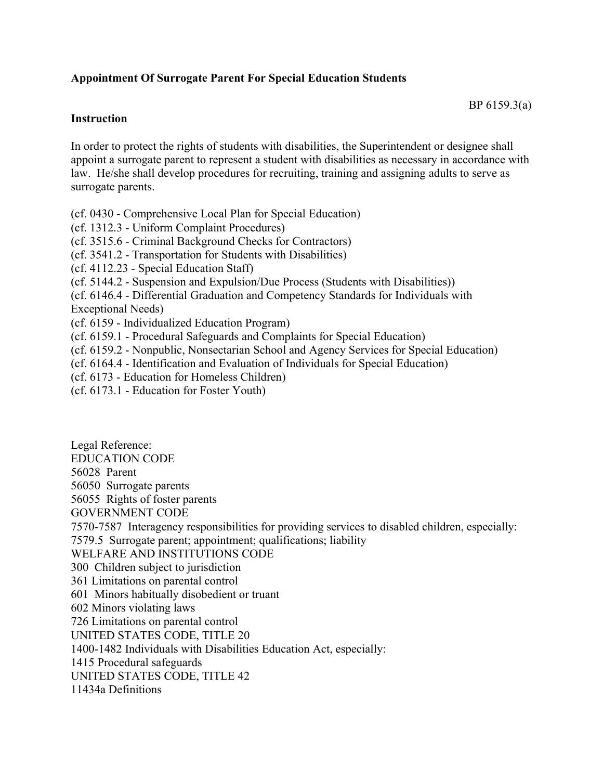## **Appointment Of Surrogate Parent For Special Education Students**

## BP 6159.3(a)

## **Instruction**

In order to protect the rights of students with disabilities, the Superintendent or designee shall appoint a surrogate parent to represent a student with disabilities as necessary in accordance with law. He/she shall develop procedures for recruiting, training and assigning adults to serve as surrogate parents.

(cf. 0430 - Comprehensive Local Plan for Special Education)

(cf. 1312.3 - Uniform Complaint Procedures)

(cf. 3515.6 - Criminal Background Checks for Contractors)

- (cf. 3541.2 Transportation for Students with Disabilities)
- (cf. 4112.23 Special Education Staff)
- (cf. 5144.2 Suspension and Expulsion/Due Process (Students with Disabilities))
- (cf. 6146.4 Differential Graduation and Competency Standards for Individuals with

Exceptional Needs)

- (cf. 6159 Individualized Education Program)
- (cf. 6159.1 Procedural Safeguards and Complaints for Special Education)
- (cf. 6159.2 Nonpublic, Nonsectarian School and Agency Services for Special Education)
- (cf. 6164.4 Identification and Evaluation of Individuals for Special Education)
- (cf. 6173 Education for Homeless Children)
- (cf. 6173.1 Education for Foster Youth)

Legal Reference: EDUCATION CODE 56028 Parent 56050 Surrogate parents 56055 Rights of foster parents GOVERNMENT CODE 7570-7587 Interagency responsibilities for providing services to disabled children, especially: 7579.5 Surrogate parent; appointment; qualifications; liability WELFARE AND INSTITUTIONS CODE 300 Children subject to jurisdiction 361 Limitations on parental control 601 Minors habitually disobedient or truant 602 Minors violating laws 726 Limitations on parental control UNITED STATES CODE, TITLE 20 1400-1482 Individuals with Disabilities Education Act, especially: 1415 Procedural safeguards UNITED STATES CODE, TITLE 42 11434a Definitions